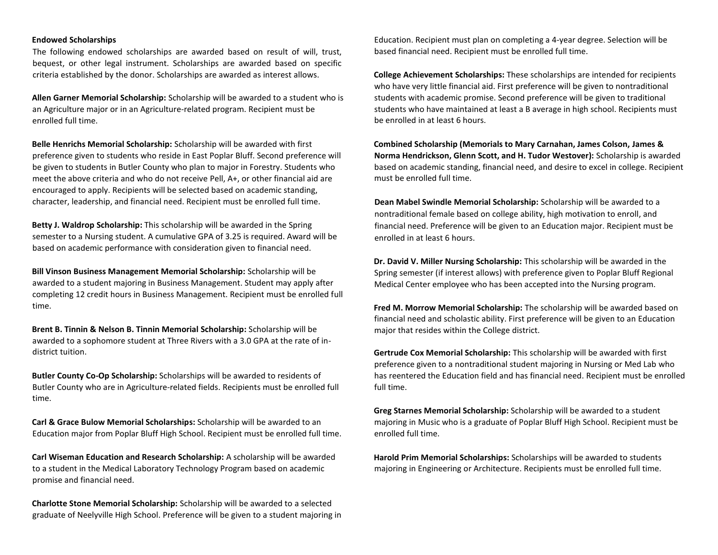## **Endowed Scholarships**

The following endowed scholarships are awarded based on result of will, trust, bequest, or other legal instrument. Scholarships are awarded based on specific criteria established by the donor. Scholarships are awarded as interest allows.

**Allen Garner Memorial Scholarship:** Scholarship will be awarded to a student who is an Agriculture major or in an Agriculture-related program. Recipient must be enrolled full time.

**Belle Henrichs Memorial Scholarship:** Scholarship will be awarded with first preference given to students who reside in East Poplar Bluff. Second preference will be given to students in Butler County who plan to major in Forestry. Students who meet the above criteria and who do not receive Pell, A+, or other financial aid are encouraged to apply. Recipients will be selected based on academic standing, character, leadership, and financial need. Recipient must be enrolled full time.

**Betty J. Waldrop Scholarship:** This scholarship will be awarded in the Spring semester to a Nursing student. A cumulative GPA of 3.25 is required. Award will be based on academic performance with consideration given to financial need.

**Bill Vinson Business Management Memorial Scholarship:** Scholarship will be awarded to a student majoring in Business Management. Student may apply after completing 12 credit hours in Business Management. Recipient must be enrolled full time.

**Brent B. Tinnin & Nelson B. Tinnin Memorial Scholarship:** Scholarship will be awarded to a sophomore student at Three Rivers with a 3.0 GPA at the rate of indistrict tuition.

**Butler County Co-Op Scholarship:** Scholarships will be awarded to residents of Butler County who are in Agriculture-related fields. Recipients must be enrolled full time.

**Carl & Grace Bulow Memorial Scholarships:** Scholarship will be awarded to an Education major from Poplar Bluff High School. Recipient must be enrolled full time.

**Carl Wiseman Education and Research Scholarship:** A scholarship will be awarded to a student in the Medical Laboratory Technology Program based on academic promise and financial need.

**Charlotte Stone Memorial Scholarship:** Scholarship will be awarded to a selected graduate of Neelyville High School. Preference will be given to a student majoring in Education. Recipient must plan on completing a 4-year degree. Selection will be based financial need. Recipient must be enrolled full time.

**College Achievement Scholarships:** These scholarships are intended for recipients who have very little financial aid. First preference will be given to nontraditional students with academic promise. Second preference will be given to traditional students who have maintained at least a B average in high school. Recipients must be enrolled in at least 6 hours.

**Combined Scholarship (Memorials to Mary Carnahan, James Colson, James & Norma Hendrickson, Glenn Scott, and H. Tudor Westover):** Scholarship is awarded based on academic standing, financial need, and desire to excel in college. Recipient must be enrolled full time.

**Dean Mabel Swindle Memorial Scholarship:** Scholarship will be awarded to a nontraditional female based on college ability, high motivation to enroll, and financial need. Preference will be given to an Education major. Recipient must be enrolled in at least 6 hours.

**Dr. David V. Miller Nursing Scholarship:** This scholarship will be awarded in the Spring semester (if interest allows) with preference given to Poplar Bluff Regional Medical Center employee who has been accepted into the Nursing program.

**Fred M. Morrow Memorial Scholarship:** The scholarship will be awarded based on financial need and scholastic ability. First preference will be given to an Education major that resides within the College district.

**Gertrude Cox Memorial Scholarship:** This scholarship will be awarded with first preference given to a nontraditional student majoring in Nursing or Med Lab who has reentered the Education field and has financial need. Recipient must be enrolled full time.

**Greg Starnes Memorial Scholarship:** Scholarship will be awarded to a student majoring in Music who is a graduate of Poplar Bluff High School. Recipient must be enrolled full time.

**Harold Prim Memorial Scholarships:** Scholarships will be awarded to students majoring in Engineering or Architecture. Recipients must be enrolled full time.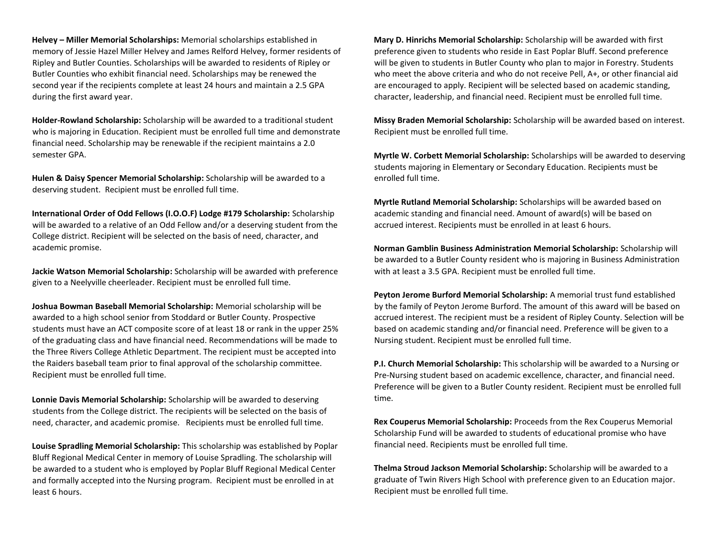**Helvey – Miller Memorial Scholarships:** Memorial scholarships established in memory of Jessie Hazel Miller Helvey and James Relford Helvey, former residents of Ripley and Butler Counties. Scholarships will be awarded to residents of Ripley or Butler Counties who exhibit financial need. Scholarships may be renewed the second year if the recipients complete at least 24 hours and maintain a 2.5 GPA during the first award year.

**Holder-Rowland Scholarship:** Scholarship will be awarded to a traditional student who is majoring in Education. Recipient must be enrolled full time and demonstrate financial need. Scholarship may be renewable if the recipient maintains a 2.0 semester GPA.

**Hulen & Daisy Spencer Memorial Scholarship:** Scholarship will be awarded to a deserving student. Recipient must be enrolled full time.

**International Order of Odd Fellows (I.O.O.F) Lodge #179 Scholarship:** Scholarship will be awarded to a relative of an Odd Fellow and/or a deserving student from the College district. Recipient will be selected on the basis of need, character, and academic promise.

**Jackie Watson Memorial Scholarship:** Scholarship will be awarded with preference given to a Neelyville cheerleader. Recipient must be enrolled full time.

**Joshua Bowman Baseball Memorial Scholarship:** Memorial scholarship will be awarded to a high school senior from Stoddard or Butler County. Prospective students must have an ACT composite score of at least 18 or rank in the upper 25% of the graduating class and have financial need. Recommendations will be made to the Three Rivers College Athletic Department. The recipient must be accepted into the Raiders baseball team prior to final approval of the scholarship committee. Recipient must be enrolled full time.

**Lonnie Davis Memorial Scholarship:** Scholarship will be awarded to deserving students from the College district. The recipients will be selected on the basis of need, character, and academic promise. Recipients must be enrolled full time.

**Louise Spradling Memorial Scholarship:** This scholarship was established by Poplar Bluff Regional Medical Center in memory of Louise Spradling. The scholarship will be awarded to a student who is employed by Poplar Bluff Regional Medical Center and formally accepted into the Nursing program. Recipient must be enrolled in at least 6 hours.

**Mary D. Hinrichs Memorial Scholarship:** Scholarship will be awarded with first preference given to students who reside in East Poplar Bluff. Second preference will be given to students in Butler County who plan to major in Forestry. Students who meet the above criteria and who do not receive Pell, A+, or other financial aid are encouraged to apply. Recipient will be selected based on academic standing, character, leadership, and financial need. Recipient must be enrolled full time.

**Missy Braden Memorial Scholarship:** Scholarship will be awarded based on interest. Recipient must be enrolled full time.

**Myrtle W. Corbett Memorial Scholarship:** Scholarships will be awarded to deserving students majoring in Elementary or Secondary Education. Recipients must be enrolled full time.

**Myrtle Rutland Memorial Scholarship:** Scholarships will be awarded based on academic standing and financial need. Amount of award(s) will be based on accrued interest. Recipients must be enrolled in at least 6 hours.

**Norman Gamblin Business Administration Memorial Scholarship:** Scholarship will be awarded to a Butler County resident who is majoring in Business Administration with at least a 3.5 GPA. Recipient must be enrolled full time.

**Peyton Jerome Burford Memorial Scholarship:** A memorial trust fund established by the family of Peyton Jerome Burford. The amount of this award will be based on accrued interest. The recipient must be a resident of Ripley County. Selection will be based on academic standing and/or financial need. Preference will be given to a Nursing student. Recipient must be enrolled full time.

**P.I. Church Memorial Scholarship:** This scholarship will be awarded to a Nursing or Pre-Nursing student based on academic excellence, character, and financial need. Preference will be given to a Butler County resident. Recipient must be enrolled full time.

**Rex Couperus Memorial Scholarship:** Proceeds from the Rex Couperus Memorial Scholarship Fund will be awarded to students of educational promise who have financial need. Recipients must be enrolled full time.

**Thelma Stroud Jackson Memorial Scholarship:** Scholarship will be awarded to a graduate of Twin Rivers High School with preference given to an Education major. Recipient must be enrolled full time.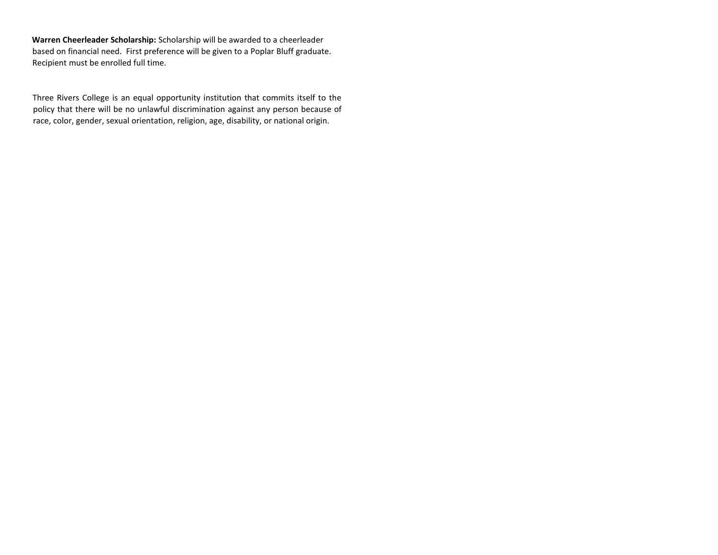**Warren Cheerleader Scholarship:** Scholarship will be awarded to a cheerleader based on financial need. First preference will be given to a Poplar Bluff graduate. Recipient must be enrolled full time.

Three Rivers College is an equal opportunity institution that commits itself to the policy that there will be no unlawful discrimination against any person because of race, color, gender, sexual orientation, religion, age, disability, or national origin.